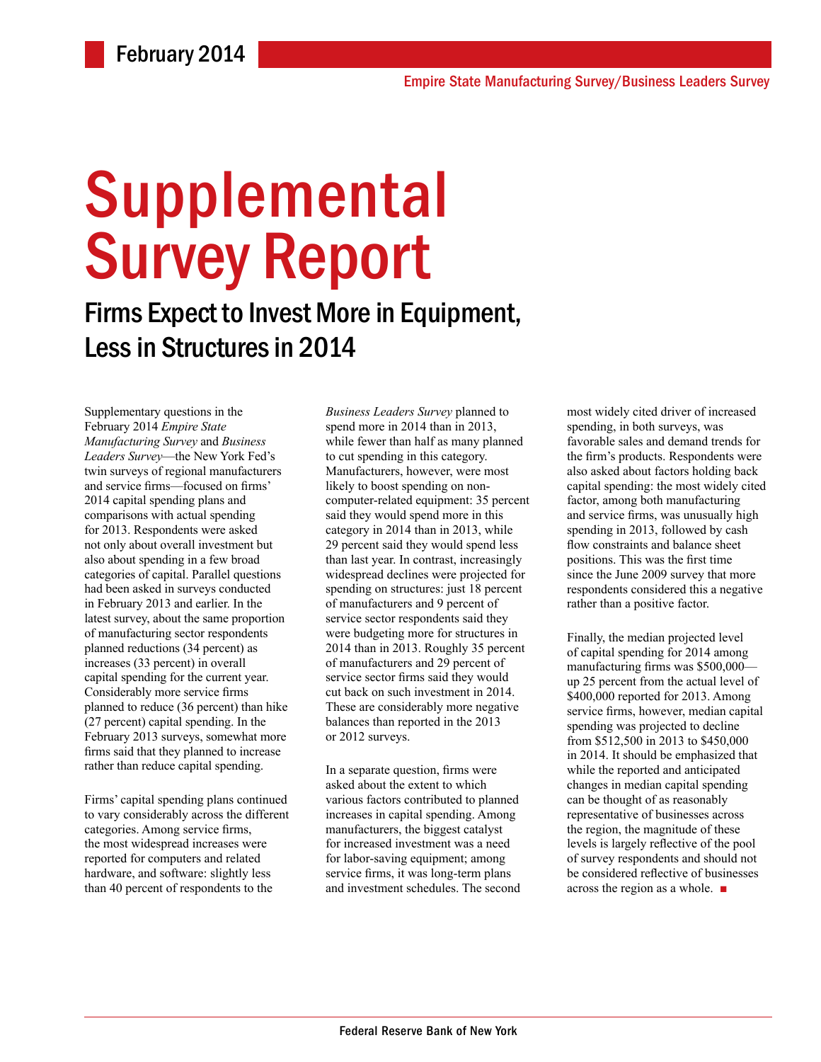# Supplemental Survey Report

## Firms Expect to Invest More in Equipment, Less in Structures in 2014

Supplementary questions in the February 2014 *Empire State Manufacturing Survey* and *Business Leaders Survey*—the New York Fed's twin surveys of regional manufacturers and service firms—focused on firms' 2014 capital spending plans and comparisons with actual spending for 2013. Respondents were asked not only about overall investment but also about spending in a few broad categories of capital. Parallel questions had been asked in surveys conducted in February 2013 and earlier. In the latest survey, about the same proportion of manufacturing sector respondents planned reductions (34 percent) as increases (33 percent) in overall capital spending for the current year. Considerably more service firms planned to reduce (36 percent) than hike (27 percent) capital spending. In the February 2013 surveys, somewhat more firms said that they planned to increase rather than reduce capital spending.

Firms' capital spending plans continued to vary considerably across the different categories. Among service firms, the most widespread increases were reported for computers and related hardware, and software: slightly less than 40 percent of respondents to the

*Business Leaders Survey* planned to spend more in 2014 than in 2013, while fewer than half as many planned to cut spending in this category. Manufacturers, however, were most likely to boost spending on noncomputer-related equipment: 35 percent said they would spend more in this category in 2014 than in 2013, while 29 percent said they would spend less than last year. In contrast, increasingly widespread declines were projected for spending on structures: just 18 percent of manufacturers and 9 percent of service sector respondents said they were budgeting more for structures in 2014 than in 2013. Roughly 35 percent of manufacturers and 29 percent of service sector firms said they would cut back on such investment in 2014. These are considerably more negative balances than reported in the 2013 or 2012 surveys.

In a separate question, firms were asked about the extent to which various factors contributed to planned increases in capital spending. Among manufacturers, the biggest catalyst for increased investment was a need for labor-saving equipment; among service firms, it was long-term plans and investment schedules. The second most widely cited driver of increased spending, in both surveys, was favorable sales and demand trends for the firm's products. Respondents were also asked about factors holding back capital spending: the most widely cited factor, among both manufacturing and service firms, was unusually high spending in 2013, followed by cash flow constraints and balance sheet positions. This was the first time since the June 2009 survey that more respondents considered this a negative rather than a positive factor.

Finally, the median projected level of capital spending for 2014 among manufacturing firms was \$500,000 up 25 percent from the actual level of \$400,000 reported for 2013. Among service firms, however, median capital spending was projected to decline from \$512,500 in 2013 to \$450,000 in 2014. It should be emphasized that while the reported and anticipated changes in median capital spending can be thought of as reasonably representative of businesses across the region, the magnitude of these levels is largely reflective of the pool of survey respondents and should not be considered reflective of businesses across the region as a whole. ■